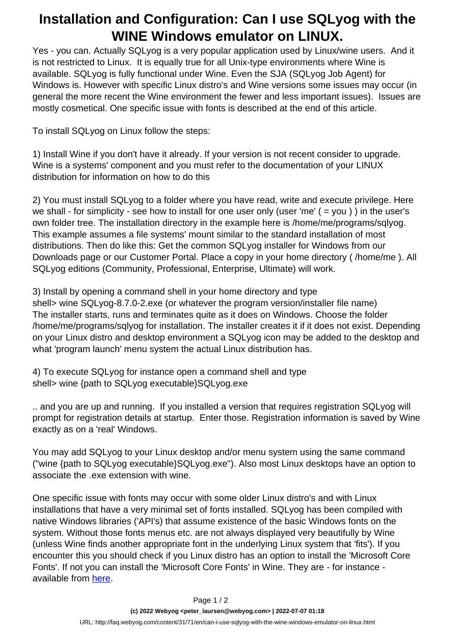## **Installation and Configuration: Can I use SQLyog with the WINE Windows emulator on LINUX.**

Yes - you can. Actually SQLyog is a very popular application used by Linux/wine users. And it is not restricted to Linux. It is equally true for all Unix-type environments where Wine is available. SQLyog is fully functional under Wine. Even the SJA (SQLyog Job Agent) for Windows is. However with specific Linux distro's and Wine versions some issues may occur (in general the more recent the Wine environment the fewer and less important issues). Issues are mostly cosmetical. One specific issue with fonts is described at the end of this article.

To install SQLyog on Linux follow the steps:

1) Install Wine if you don't have it already. If your version is not recent consider to upgrade. Wine is a systems' component and you must refer to the documentation of your LINUX distribution for information on how to do this

2) You must install SQLyog to a folder where you have read, write and execute privilege. Here we shall - for simplicity - see how to install for one user only (user 'me' ( = you ) ) in the user's own folder tree. The installation directory in the example here is /home/me/programs/sqlyog. This example assumes a file systems' mount similar to the standard installation of most distributions. Then do like this: Get the common SQLyog installer for Windows from our Downloads page or our Customer Portal. Place a copy in your home directory ( /home/me ). All SQLyog editions (Community, Professional, Enterprise, Ultimate) will work.

3) Install by opening a command shell in your home directory and type shell> wine SQLyog-8.7.0-2.exe (or whatever the program version/installer file name) The installer starts, runs and terminates quite as it does on Windows. Choose the folder /home/me/programs/sqlyog for installation. The installer creates it if it does not exist. Depending on your Linux distro and desktop environment a SQLyog icon may be added to the desktop and what 'program launch' menu system the actual Linux distribution has.

4) To execute SQLyog for instance open a command shell and type shell> wine {path to SQLyog executable}SQLyog.exe

.. and you are up and running. If you installed a version that requires registration SQLyog will prompt for registration details at startup. Enter those. Registration information is saved by Wine exactly as on a 'real' Windows.

You may add SQLyog to your Linux desktop and/or menu system using the same command ("wine {path to SQLyog executable}SQLyog.exe"). Also most Linux desktops have an option to associate the .exe extension with wine.

One specific issue with fonts may occur with some older Linux distro's and with Linux installations that have a very minimal set of fonts installed. SQLyog has been compiled with native Windows libraries ('API's) that assume existence of the basic Windows fonts on the system. Without those fonts menus etc. are not always displayed very beautifully by Wine (unless Wine finds another appropriate font in the underlying Linux system that 'fits'). If you encounter this you should check if you Linux distro has an option to install the 'Microsoft Core Fonts'. If not you can install the 'Microsoft Core Fonts' in Wine. They are - for instance available from [here.](http://sourceforge.net/projects/corefonts/files/the%20fonts/final/wd97vwr32.exe/download)